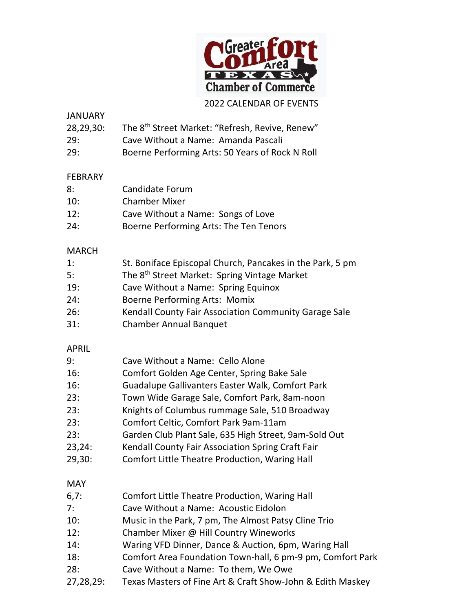

## 2022 CALENDAR OF EVENTS

#### JANUARY

| 28,29,30: | The 8 <sup>th</sup> Street Market: "Refresh, Revive, Renew" |  |  |  |  |
|-----------|-------------------------------------------------------------|--|--|--|--|
|-----------|-------------------------------------------------------------|--|--|--|--|

- 29: Cave Without a Name: Amanda Pascali
- 29: Boerne Performing Arts: 50 Years of Rock N Roll

## FEBRARY

| 8:  | Candidate Forum      |
|-----|----------------------|
| 10: | <b>Chamber Mixer</b> |

- 12: Cave Without a Name: Songs of Love
- 24: Boerne Performing Arts: The Ten Tenors

## MARCH

| 1:  | St. Boniface Episcopal Church, Pancakes in the Park, 5 pm |
|-----|-----------------------------------------------------------|
| 5:  | The 8 <sup>th</sup> Street Market: Spring Vintage Market  |
| 19: | Cave Without a Name: Spring Equinox                       |
| 24: | Boerne Performing Arts: Momix                             |
| 26: | Kendall County Fair Association Community Garage Sale     |
| 31: | <b>Chamber Annual Banquet</b>                             |

#### APRIL

| 9:         | Cave Without a Name: Cello Alone                        |
|------------|---------------------------------------------------------|
| 16:        | Comfort Golden Age Center, Spring Bake Sale             |
| 16:        | <b>Guadalupe Gallivanters Easter Walk, Comfort Park</b> |
| 23:        | Town Wide Garage Sale, Comfort Park, 8am-noon           |
| 23:        | Knights of Columbus rummage Sale, 510 Broadway          |
| 23:        | Comfort Celtic, Comfort Park 9am-11am                   |
| 23:        | Garden Club Plant Sale, 635 High Street, 9am-Sold Out   |
| 23,24:     | Kendall County Fair Association Spring Craft Fair       |
| 29,30:     | Comfort Little Theatre Production, Waring Hall          |
| <b>MAY</b> |                                                         |
| 6,7:       | Comfort Little Theatre Production, Waring Hall          |
| 7:         | Cave Without a Name: Acoustic Eidolon                   |

- 10: Music in the Park, 7 pm, The Almost Patsy Cline Trio
- 12: Chamber Mixer @ Hill Country Wineworks
- 14: Waring VFD Dinner, Dance & Auction, 6pm, Waring Hall
- 18: Comfort Area Foundation Town-hall, 6 pm-9 pm, Comfort Park
- 28: Cave Without a Name: To them, We Owe
- 27,28,29: Texas Masters of Fine Art & Craft Show-John & Edith Maskey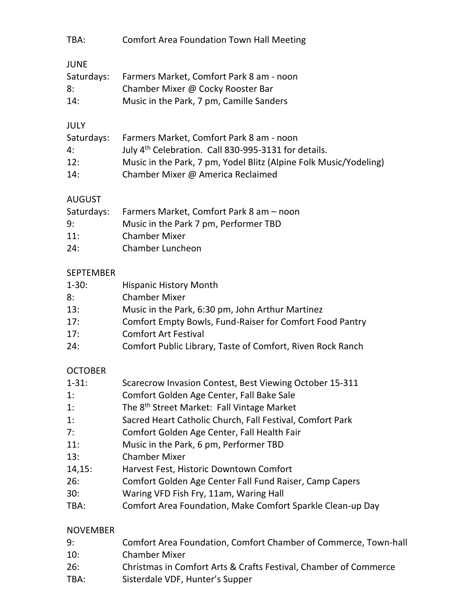| TBA:                                                                                              | <b>Comfort Area Foundation Town Hall Meeting</b>                                                                                                                                                                                                                                                                                                                                                                                                                                                                                                           |
|---------------------------------------------------------------------------------------------------|------------------------------------------------------------------------------------------------------------------------------------------------------------------------------------------------------------------------------------------------------------------------------------------------------------------------------------------------------------------------------------------------------------------------------------------------------------------------------------------------------------------------------------------------------------|
| <b>JUNE</b><br>Saturdays:<br>8:<br>14:                                                            | Farmers Market, Comfort Park 8 am - noon<br>Chamber Mixer @ Cocky Rooster Bar<br>Music in the Park, 7 pm, Camille Sanders                                                                                                                                                                                                                                                                                                                                                                                                                                  |
| <b>JULY</b><br>Saturdays:<br>4:<br>12:<br>14:                                                     | Farmers Market, Comfort Park 8 am - noon<br>July 4 <sup>th</sup> Celebration. Call 830-995-3131 for details.<br>Music in the Park, 7 pm, Yodel Blitz (Alpine Folk Music/Yodeling)<br>Chamber Mixer @ America Reclaimed                                                                                                                                                                                                                                                                                                                                     |
| <b>AUGUST</b><br>Saturdays:<br>9:<br>11:<br>24:                                                   | Farmers Market, Comfort Park 8 am - noon<br>Music in the Park 7 pm, Performer TBD<br><b>Chamber Mixer</b><br><b>Chamber Luncheon</b>                                                                                                                                                                                                                                                                                                                                                                                                                       |
| <b>SEPTEMBER</b><br>$1 - 30:$<br>8:<br>13:<br>17:<br>17:<br>24:                                   | <b>Hispanic History Month</b><br><b>Chamber Mixer</b><br>Music in the Park, 6:30 pm, John Arthur Martinez<br>Comfort Empty Bowls, Fund-Raiser for Comfort Food Pantry<br><b>Comfort Art Festival</b><br>Comfort Public Library, Taste of Comfort, Riven Rock Ranch                                                                                                                                                                                                                                                                                         |
| <b>OCTOBER</b><br>$1 - 31:$<br>1:<br>1:<br>1:<br>7:<br>11:<br>13:<br>14,15:<br>26:<br>30:<br>TBA: | Scarecrow Invasion Contest, Best Viewing October 15-311<br>Comfort Golden Age Center, Fall Bake Sale<br>The 8 <sup>th</sup> Street Market: Fall Vintage Market<br>Sacred Heart Catholic Church, Fall Festival, Comfort Park<br>Comfort Golden Age Center, Fall Health Fair<br>Music in the Park, 6 pm, Performer TBD<br><b>Chamber Mixer</b><br>Harvest Fest, Historic Downtown Comfort<br>Comfort Golden Age Center Fall Fund Raiser, Camp Capers<br>Waring VFD Fish Fry, 11am, Waring Hall<br>Comfort Area Foundation, Make Comfort Sparkle Clean-up Day |
| <b>NOVEMBER</b><br>9:<br>10:<br>26:                                                               | Comfort Area Foundation, Comfort Chamber of Commerce, Town-hall<br><b>Chamber Mixer</b><br>Christmas in Comfort Arts & Crafts Festival, Chamber of Commerce                                                                                                                                                                                                                                                                                                                                                                                                |

TBA: Sisterdale VDF, Hunter's Supper